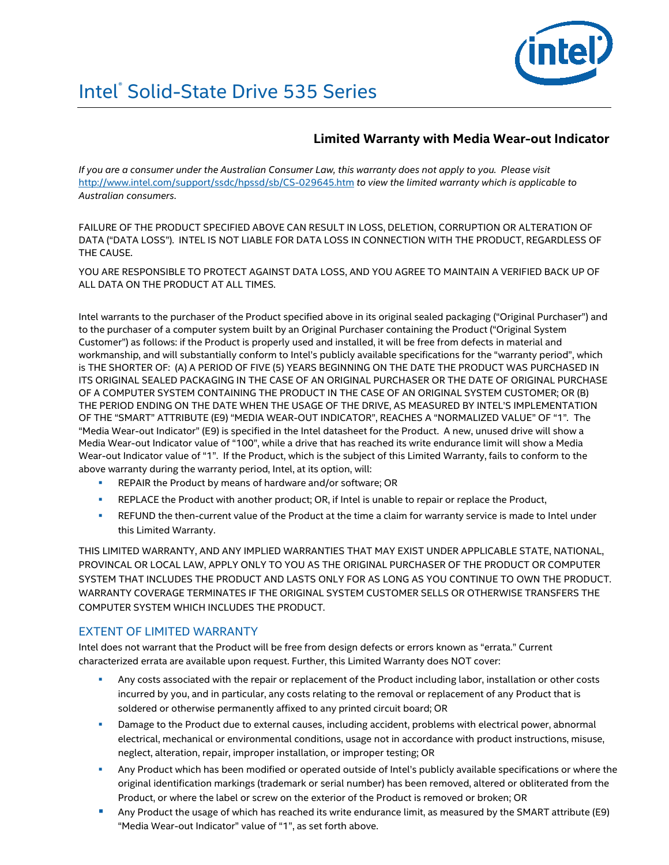

# Intel<sup>®</sup> Solid-State Drive 535 Series

## **Limited Warranty with Media Wear-out Indicator**

*If you are a consumer under the Australian Consumer Law, this warranty does not apply to you. Please visit*  <http://www.intel.com/support/ssdc/hpssd/sb/CS-029645.htm> *to view the limited warranty which is applicable to Australian consumers*.

FAILURE OF THE PRODUCT SPECIFIED ABOVE CAN RESULT IN LOSS, DELETION, CORRUPTION OR ALTERATION OF DATA ("DATA LOSS"). INTEL IS NOT LIABLE FOR DATA LOSS IN CONNECTION WITH THE PRODUCT, REGARDLESS OF THE CAUSE.

YOU ARE RESPONSIBLE TO PROTECT AGAINST DATA LOSS, AND YOU AGREE TO MAINTAIN A VERIFIED BACK UP OF ALL DATA ON THE PRODUCT AT ALL TIMES.

Intel warrants to the purchaser of the Product specified above in its original sealed packaging ("Original Purchaser") and to the purchaser of a computer system built by an Original Purchaser containing the Product ("Original System Customer") as follows: if the Product is properly used and installed, it will be free from defects in material and workmanship, and will substantially conform to Intel's publicly available specifications for the "warranty period", which is THE SHORTER OF: (A) A PERIOD OF FIVE (5) YEARS BEGINNING ON THE DATE THE PRODUCT WAS PURCHASED IN ITS ORIGINAL SEALED PACKAGING IN THE CASE OF AN ORIGINAL PURCHASER OR THE DATE OF ORIGINAL PURCHASE OF A COMPUTER SYSTEM CONTAINING THE PRODUCT IN THE CASE OF AN ORIGINAL SYSTEM CUSTOMER; OR (B) THE PERIOD ENDING ON THE DATE WHEN THE USAGE OF THE DRIVE, AS MEASURED BY INTEL'S IMPLEMENTATION OF THE "SMART" ATTRIBUTE (E9) "MEDIA WEAR-OUT INDICATOR", REACHES A "NORMALIZED VALUE" OF "1"*.* The "Media Wear-out Indicator" (E9) is specified in the Intel datasheet for the Product. A new, unused drive will show a Media Wear-out Indicator value of "100", while a drive that has reached its write endurance limit will show a Media Wear-out Indicator value of "1". If the Product, which is the subject of this Limited Warranty, fails to conform to the above warranty during the warranty period, Intel, at its option, will:

- REPAIR the Product by means of hardware and/or software; OR
- REPLACE the Product with another product; OR, if Intel is unable to repair or replace the Product,
- REFUND the then-current value of the Product at the time a claim for warranty service is made to Intel under this Limited Warranty.

THIS LIMITED WARRANTY, AND ANY IMPLIED WARRANTIES THAT MAY EXIST UNDER APPLICABLE STATE, NATIONAL, PROVINCAL OR LOCAL LAW, APPLY ONLY TO YOU AS THE ORIGINAL PURCHASER OF THE PRODUCT OR COMPUTER SYSTEM THAT INCLUDES THE PRODUCT AND LASTS ONLY FOR AS LONG AS YOU CONTINUE TO OWN THE PRODUCT. WARRANTY COVERAGE TERMINATES IF THE ORIGINAL SYSTEM CUSTOMER SELLS OR OTHERWISE TRANSFERS THE COMPUTER SYSTEM WHICH INCLUDES THE PRODUCT.

#### EXTENT OF LIMITED WARRANTY

Intel does not warrant that the Product will be free from design defects or errors known as "errata." Current characterized errata are available upon request. Further, this Limited Warranty does NOT cover:

- Any costs associated with the repair or replacement of the Product including labor, installation or other costs incurred by you, and in particular, any costs relating to the removal or replacement of any Product that is soldered or otherwise permanently affixed to any printed circuit board; OR
- **Damage to the Product due to external causes, including accident, problems with electrical power, abnormal** electrical, mechanical or environmental conditions, usage not in accordance with product instructions, misuse, neglect, alteration, repair, improper installation, or improper testing; OR
- Any Product which has been modified or operated outside of Intel's publicly available specifications or where the original identification markings (trademark or serial number) has been removed, altered or obliterated from the Product, or where the label or screw on the exterior of the Product is removed or broken; OR
- **Any Product the usage of which has reached its write endurance limit, as measured by the SMART attribute (E9)** "Media Wear-out Indicator" value of "1", as set forth above.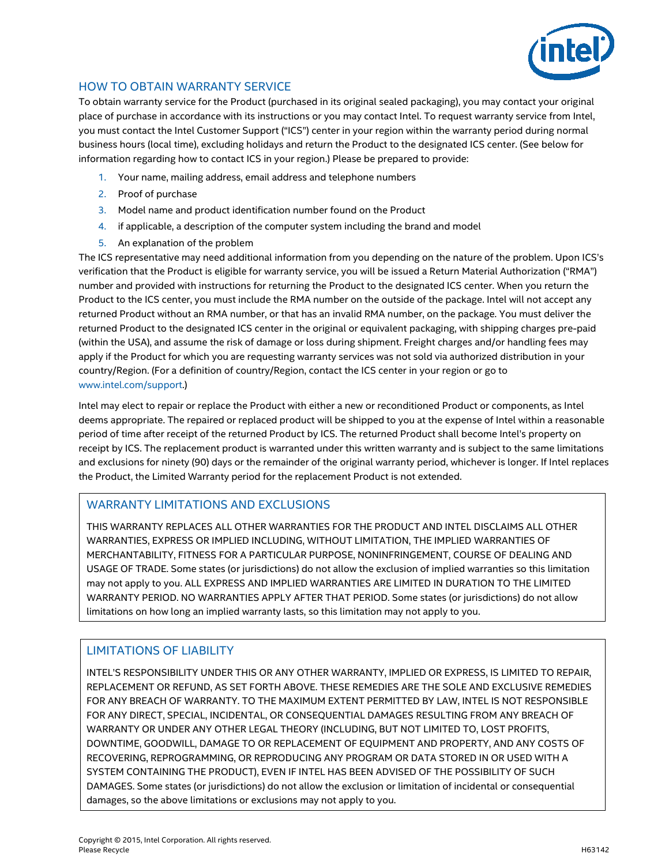

## HOW TO OBTAIN WARRANTY SERVICE

To obtain warranty service for the Product (purchased in its original sealed packaging), you may contact your original place of purchase in accordance with its instructions or you may contact Intel. To request warranty service from Intel, you must contact the Intel Customer Support ("ICS") center in your region within the warranty period during normal business hours (local time), excluding holidays and return the Product to the designated ICS center. (See below for information regarding how to contact ICS in your region.) Please be prepared to provide:

- 1. Your name, mailing address, email address and telephone numbers
- 2. Proof of purchase
- 3. Model name and product identification number found on the Product
- 4. if applicable, a description of the computer system including the brand and model
- 5. An explanation of the problem

The ICS representative may need additional information from you depending on the nature of the problem. Upon ICS's verification that the Product is eligible for warranty service, you will be issued a Return Material Authorization ("RMA") number and provided with instructions for returning the Product to the designated ICS center. When you return the Product to the ICS center, you must include the RMA number on the outside of the package. Intel will not accept any returned Product without an RMA number, or that has an invalid RMA number, on the package. You must deliver the returned Product to the designated ICS center in the original or equivalent packaging, with shipping charges pre-paid (within the USA), and assume the risk of damage or loss during shipment. Freight charges and/or handling fees may apply if the Product for which you are requesting warranty services was not sold via authorized distribution in your country/Region. (For a definition of country/Region, contact the ICS center in your region or go to [www.intel.com/support.\)](http://www.intel.com/support)

Intel may elect to repair or replace the Product with either a new or reconditioned Product or components, as Intel deems appropriate. The repaired or replaced product will be shipped to you at the expense of Intel within a reasonable period of time after receipt of the returned Product by ICS. The returned Product shall become Intel's property on receipt by ICS. The replacement product is warranted under this written warranty and is subject to the same limitations and exclusions for ninety (90) days or the remainder of the original warranty period, whichever is longer. If Intel replaces the Product, the Limited Warranty period for the replacement Product is not extended.

#### WARRANTY LIMITATIONS AND EXCLUSIONS

THIS WARRANTY REPLACES ALL OTHER WARRANTIES FOR THE PRODUCT AND INTEL DISCLAIMS ALL OTHER WARRANTIES, EXPRESS OR IMPLIED INCLUDING, WITHOUT LIMITATION, THE IMPLIED WARRANTIES OF MERCHANTABILITY, FITNESS FOR A PARTICULAR PURPOSE, NONINFRINGEMENT, COURSE OF DEALING AND USAGE OF TRADE. Some states (or jurisdictions) do not allow the exclusion of implied warranties so this limitation may not apply to you. ALL EXPRESS AND IMPLIED WARRANTIES ARE LIMITED IN DURATION TO THE LIMITED WARRANTY PERIOD. NO WARRANTIES APPLY AFTER THAT PERIOD. Some states (or jurisdictions) do not allow limitations on how long an implied warranty lasts, so this limitation may not apply to you.

### LIMITATIONS OF LIABILITY

INTEL'S RESPONSIBILITY UNDER THIS OR ANY OTHER WARRANTY, IMPLIED OR EXPRESS, IS LIMITED TO REPAIR, REPLACEMENT OR REFUND, AS SET FORTH ABOVE. THESE REMEDIES ARE THE SOLE AND EXCLUSIVE REMEDIES FOR ANY BREACH OF WARRANTY. TO THE MAXIMUM EXTENT PERMITTED BY LAW, INTEL IS NOT RESPONSIBLE FOR ANY DIRECT, SPECIAL, INCIDENTAL, OR CONSEQUENTIAL DAMAGES RESULTING FROM ANY BREACH OF WARRANTY OR UNDER ANY OTHER LEGAL THEORY (INCLUDING, BUT NOT LIMITED TO, LOST PROFITS, DOWNTIME, GOODWILL, DAMAGE TO OR REPLACEMENT OF EQUIPMENT AND PROPERTY, AND ANY COSTS OF RECOVERING, REPROGRAMMING, OR REPRODUCING ANY PROGRAM OR DATA STORED IN OR USED WITH A SYSTEM CONTAINING THE PRODUCT), EVEN IF INTEL HAS BEEN ADVISED OF THE POSSIBILITY OF SUCH DAMAGES. Some states (or jurisdictions) do not allow the exclusion or limitation of incidental or consequential damages, so the above limitations or exclusions may not apply to you.